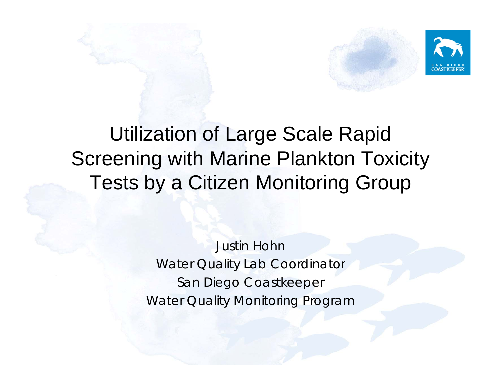



Justin Hohn Water Quality Lab Coordinator San Diego Coastkeeper Water Quality Monitoring Program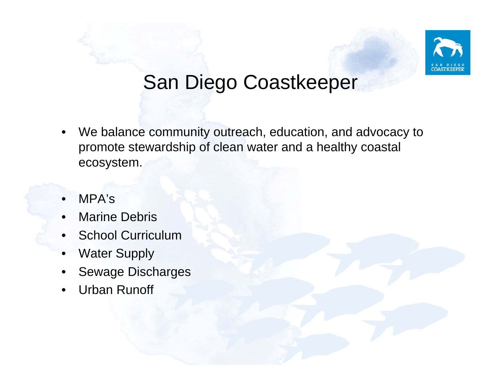

#### San Diego Coastkeepe r

- • We balance community outreach, education, and advocacy to promote stewardship of clean water and a healthy coastal ecosystem.
- •MPA's
- •• Marine Debris
- •School Curriculum
- •Water Supply
- •Sewage Discharges
- •Urban Runoff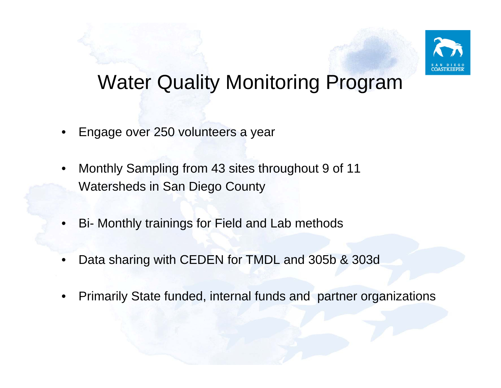

#### Water Quality Monitoring Program

- •Engage over 250 volunteers a year
- •• Monthly Sampling from 43 sites throughout 9 of 11 Watersheds in San Diego County
- •Bi- Monthly trainings for Field and Lab methods
- •Data sharing with CEDEN for TMDL and 305b & 303d
- •Primarily State funded, internal funds and partner organizations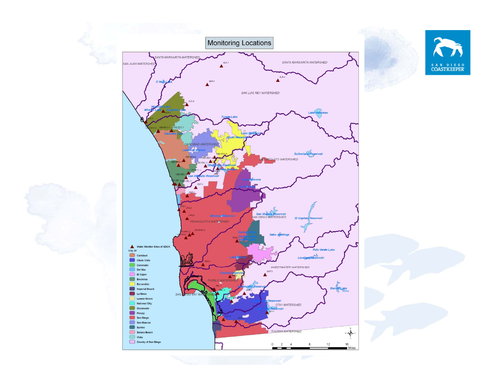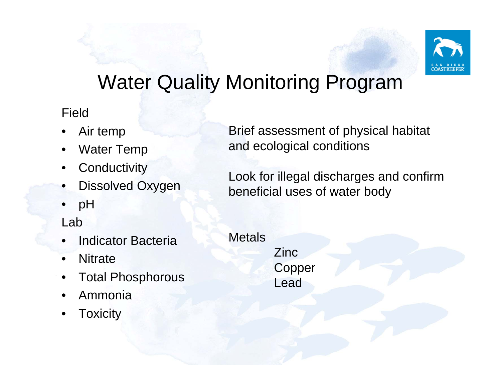

### Water Quality Monitoring Program

Field

- •Air temp
- •Water Temp
- •**Conductivity**
- •Dissolved Oxygen
- •pH

#### Lab

- •Indicator Bacteria
- •**Nitrate**
- •Total Phosphorous
- •Ammonia
- •**Toxicity**

Brief assessment of physical habitat and ecological conditions

Look for illegal discharges and confirm beneficial uses of water body

**Metals** 

Zinc **Copper** Lead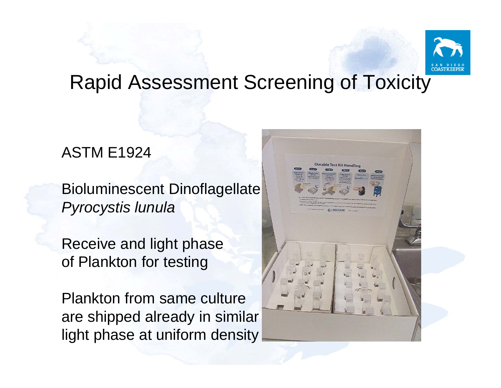

#### Rapid Assessment Screening of Toxicity

#### ASTM E1924

Bioluminescent Dinoflagellate *Pyrocystis lunula*

Receive and light phase of Plankton for testing

Plankton from same culture are shipped already in similar light phase at uniform density

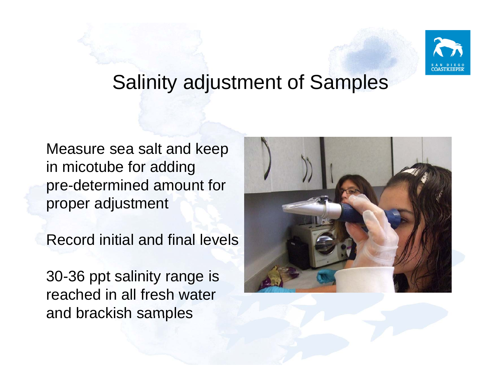

#### Salinity adjustment of Samples

Measure sea salt and keep in micotube for adding pre-determined amount for proper adjustment

Record initial and final levels

30-36 ppt salinity range is reached in all fresh water and brackish samples

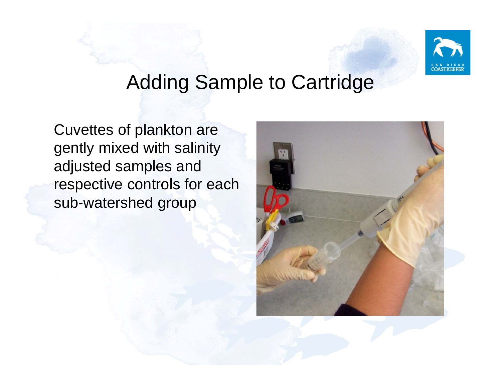

#### Adding Sample to Cartridge

Cuvettes of plankton are gently mixed with salinity adjusted samples and respective controls for each sub-watershed group

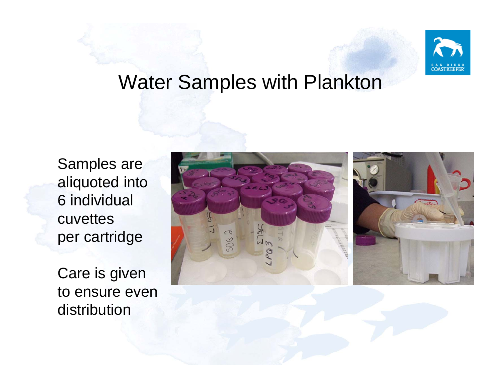

#### Water Samples with Plankton

Sam ples are aliquoted into 6 individual cuvettes per cartridge

Care is given to ensure even distribution

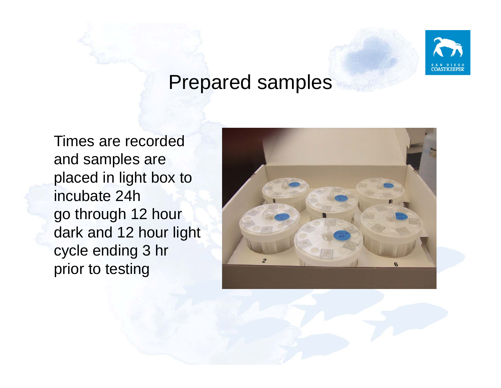

#### Prepared samples

Times are recorded and samples are placed in light box to incubate 24h go through 12 hour dark and 12 hour light cycle ending 3 hr prior to testing

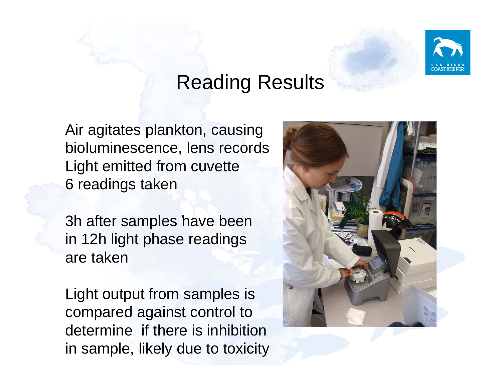

#### Reading Results

Air agitates plankton, causing bioluminescence, lens records Light emitted from cuvette 6 readings taken

3h after samples have been in 12h light phase readings are taken

Light output from samples is compared against control to determine if there is inhibition in sample, likely due to toxicity

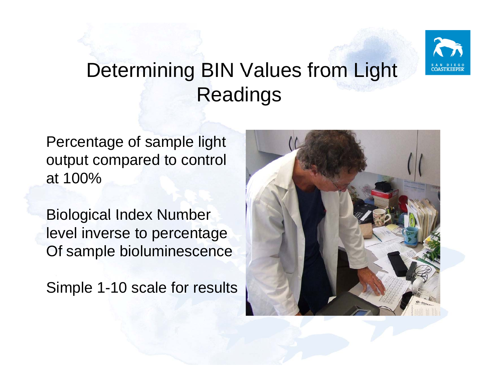

## Determining BIN Values from Light Readings

Percentage of sample light output compared to control at 100%

Biological Index Number level inverse to percentage Of sample bioluminescence

Simple 1-10 scale for results

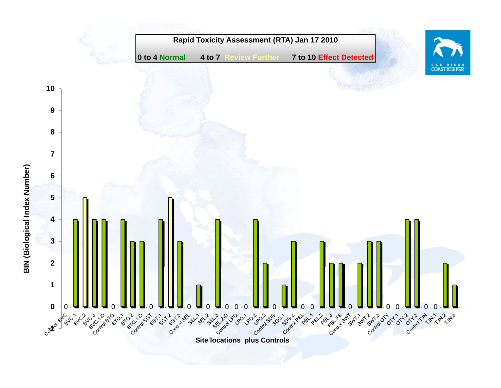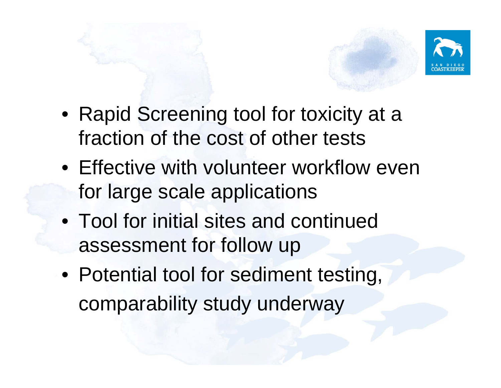

- Rapid Screening tool for toxicity at a fraction of the cost of other tests
- Effective with volunteer workflow even for large scale applications
- Tool for initial sites and continued assessment for follow up
- Potential tool for sediment testing, comparability study underway